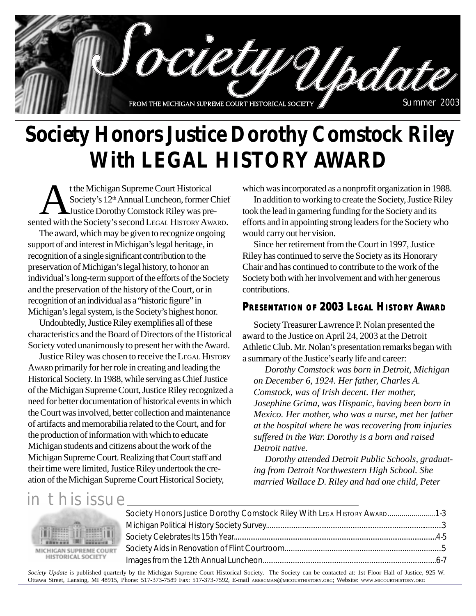

# **Society Honors Justice Dorothy Comstock Riley With LEGAL HISTORY AWARD**

t the Michigan Supreme Court Historical<br>Society's 12<sup>th</sup> Annual Luncheon, former the Society's second LEGAL HISTORY AW Society's 12<sup>th</sup> Annual Luncheon, former Chief Justice Dorothy Comstock Riley was presented with the Society's second LEGAL HISTORY AWARD.

The award, which may be given to recognize ongoing support of and interest in Michigan's legal heritage, in recognition of a single significant contribution to the preservation of Michigan's legal history, to honor an individual's long-term support of the efforts of the Society and the preservation of the history of the Court, or in recognition of an individual as a "historic figure" in Michigan's legal system, is the Society's highest honor.

Undoubtedly, Justice Riley exemplifies all of these characteristics and the Board of Directors of the Historical Society voted unanimously to present her with the Award.

Justice Riley was chosen to receive the LEGAL HISTORY AWARD primarily for her role in creating and leading the Historical Society. In 1988, while serving as Chief Justice of the Michigan Supreme Court, Justice Riley recognized a need for better documentation of historical events in which the Court was involved, better collection and maintenance of artifacts and memorabilia related to the Court, and for the production of information with which to educate Michigan students and citizens about the work of the Michigan Supreme Court. Realizing that Court staff and their time were limited, Justice Riley undertook the creation of the Michigan Supreme Court Historical Society,

which was incorporated as a nonprofit organization in 1988.

In addition to working to create the Society, Justice Riley took the lead in garnering funding for the Society and its efforts and in appointing strong leaders for the Society who would carry out her vision.

Since her retirement from the Court in 1997, Justice Riley has continued to serve the Society as its Honorary Chair and has continued to contribute to the work of the Society both with her involvement and with her generous contributions.

### **PRESENTATION OF 2003 LEGAL HISTORY AWARD**

Society Treasurer Lawrence P. Nolan presented the award to the Justice on April 24, 2003 at the Detroit Athletic Club. Mr. Nolan's presentation remarks began with a summary of the Justice's early life and career:

*Dorothy Comstock was born in Detroit, Michigan on December 6, 1924. Her father, Charles A. Comstock, was of Irish decent. Her mother, Josephine Grima, was Hispanic, having been born in Mexico. Her mother, who was a nurse, met her father at the hospital where he was recovering from injuries suffered in the War. Dorothy is a born and raised Detroit native.*

*Dorothy attended Detroit Public Schools, graduating from Detroit Northwestern High School. She married Wallace D. Riley and had one child, Peter*

### in this issue



| Society Honors Justice Dorothy Comstock Riley With LEGA HISTORY AWARD 1-3 |  |
|---------------------------------------------------------------------------|--|
|                                                                           |  |
|                                                                           |  |
|                                                                           |  |
|                                                                           |  |

*Society Update* is published quarterly by the Michigan Supreme Court Historical Society. The Society can be contacted at: 1st Floor Hall of Justice, 925 W. Ottawa Street, Lansing, MI 48915, Phone: 517-373-7589 Fax: 517-373-7592, E-mail ABERGMAN@MICOURTHISTORY.ORG; Website: WWW.MICOURTHISTORY.ORG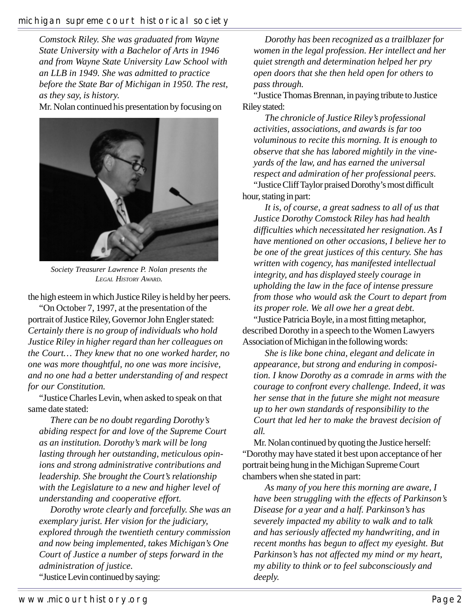#### michigan supreme court historical society

*Comstock Riley. She was graduated from Wayne State University with a Bachelor of Arts in 1946 and from Wayne State University Law School with an LLB in 1949. She was admitted to practice before the State Bar of Michigan in 1950. The rest, as they say, is history.*

Mr. Nolan continued his presentation by focusing on



*Society Treasurer Lawrence P. Nolan presents the LEGAL HISTORY AWARD.*

the high esteem in which Justice Riley is held by her peers.

"On October 7, 1997, at the presentation of the portrait of Justice Riley, Governor John Engler stated: *Certainly there is no group of individuals who hold Justice Riley in higher regard than her colleagues on the Court… They knew that no one worked harder, no one was more thoughtful, no one was more incisive, and no one had a better understanding of and respect for our Constitution.*

"Justice Charles Levin, when asked to speak on that same date stated:

*There can be no doubt regarding Dorothy's abiding respect for and love of the Supreme Court as an institution. Dorothy's mark will be long lasting through her outstanding, meticulous opinions and strong administrative contributions and leadership. She brought the Court's relationship with the Legislature to a new and higher level of understanding and cooperative effort.*

*Dorothy wrote clearly and forcefully. She was an exemplary jurist. Her vision for the judiciary, explored through the twentieth century commission and now being implemented, takes Michigan's One Court of Justice a number of steps forward in the administration of justice.* "Justice Levin continued by saying:

*Dorothy has been recognized as a trailblazer for women in the legal profession. Her intellect and her quiet strength and determination helped her pry open doors that she then held open for others to pass through.*

"Justice Thomas Brennan, in paying tribute to Justice Riley stated:

*The chronicle of Justice Riley's professional activities, associations, and awards is far too voluminous to recite this morning. It is enough to observe that she has labored mightily in the vineyards of the law, and has earned the universal respect and admiration of her professional peers.* "Justice Cliff Taylor praised Dorothy's most difficult hour, stating in part:

*It is, of course, a great sadness to all of us that Justice Dorothy Comstock Riley has had health difficulties which necessitated her resignation. As I have mentioned on other occasions, I believe her to be one of the great justices of this century. She has written with cogency, has manifested intellectual integrity, and has displayed steely courage in upholding the law in the face of intense pressure from those who would ask the Court to depart from its proper role. We all owe her a great debt.* "Justice Patricia Boyle, in a most fitting metaphor, described Dorothy in a speech to the Women Lawyers Association of Michigan in the following words:

*She is like bone china, elegant and delicate in appearance, but strong and enduring in composition. I know Dorothy as a comrade in arms with the courage to confront every challenge. Indeed, it was her sense that in the future she might not measure up to her own standards of responsibility to the Court that led her to make the bravest decision of all.*

Mr. Nolan continued by quoting the Justice herself: "Dorothy may have stated it best upon acceptance of her portrait being hung in the Michigan Supreme Court chambers when she stated in part:

*As many of you here this morning are aware, I have been struggling with the effects of Parkinson's Disease for a year and a half. Parkinson's has severely impacted my ability to walk and to talk and has seriously affected my handwriting, and in recent months has begun to affect my eyesight. But Parkinson's has not affected my mind or my heart, my ability to think or to feel subconsciously and deeply.*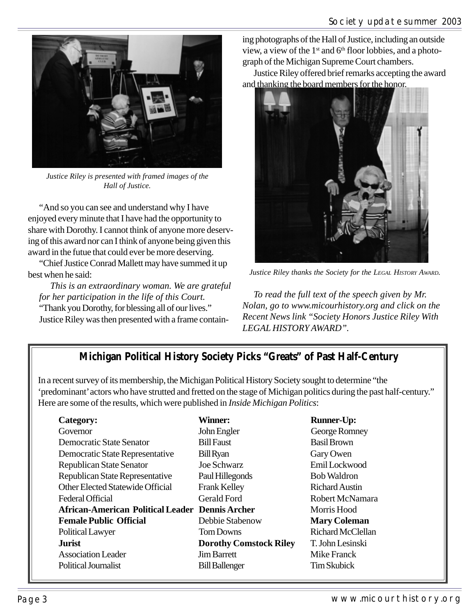

*Justice Riley is presented with framed images of the Hall of Justice.*

"And so you can see and understand why I have enjoyed every minute that I have had the opportunity to share with Dorothy. I cannot think of anyone more deserving of this award nor can I think of anyone being given this award in the futue that could ever be more deserving.

"Chief Justice Conrad Mallett may have summed it up best when he said:

*This is an extraordinary woman. We are grateful for her participation in the life of this Court.* "Thank you Dorothy, for blessing all of our lives." Justice Riley was then presented with a frame containing photographs of the Hall of Justice, including an outside view, a view of the  $1<sup>st</sup>$  and  $6<sup>th</sup>$  floor lobbies, and a photograph of the Michigan Supreme Court chambers.

Justice Riley offered brief remarks accepting the award and thanking the board members for the honor.



*Justice Riley thanks the Society for the LEGAL HISTORY AWARD.*

*To read the full text of the speech given by Mr. Nolan, go to www.micourhistory.org and click on the Recent News link "Society Honors Justice Riley With LEGAL HISTORY AWARD".*

### **Michigan Political History Society Picks "Greats" of Past Half-Century**

In a recent survey of its membership, the Michigan Political History Society sought to determine "the 'predominant' actors who have strutted and fretted on the stage of Michigan politics during the past half-century." Here are some of the results, which were published in *Inside Michigan Politics*:

| Category:                                              | <b>Winner:</b>                | <b>Runner-Up:</b>     |
|--------------------------------------------------------|-------------------------------|-----------------------|
| Governor                                               | John Engler                   | George Romney         |
| <b>Democratic State Senator</b>                        | <b>Bill Faust</b>             | <b>Basil Brown</b>    |
| Democratic State Representative                        | <b>Bill Ryan</b>              | Gary Owen             |
| <b>Republican State Senator</b>                        | Joe Schwarz                   | Emil Lockwood         |
| Republican State Representative                        | Paul Hillegonds               | <b>Bob Waldron</b>    |
| Other Elected Statewide Official                       | <b>Frank Kelley</b>           | <b>Richard Austin</b> |
| Federal Official                                       | <b>Gerald Ford</b>            | Robert McNamara       |
| <b>African-American Political Leader Dennis Archer</b> |                               | Morris Hood           |
| <b>Female Public Official</b>                          | Debbie Stabenow               | <b>Mary Coleman</b>   |
| Political Lawyer                                       | <b>Tom Downs</b>              | Richard McClellan     |
| <b>Jurist</b>                                          | <b>Dorothy Comstock Riley</b> | T. John Lesinski      |
| <b>Association Leader</b>                              | <b>Jim Barrett</b>            | Mike Franck           |
| Political Journalist                                   | <b>Bill Ballenger</b>         | <b>Tim Skubick</b>    |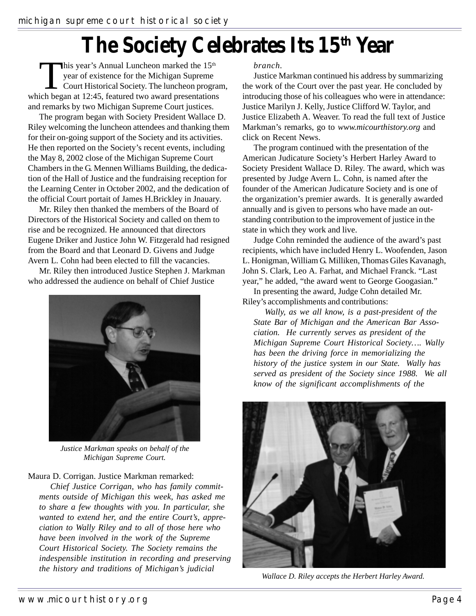# **The Society Celebrates Its 15th Year**

This year's Annual Luncheon marked the  $15<sup>th</sup>$ <br>year of existence for the Michigan Supreme<br>Court Historical Society. The luncheon progri<br>ich began at  $12.45$  featured two award presentation year of existence for the Michigan Supreme Court Historical Society. The luncheon program, which began at 12:45, featured two award presentations and remarks by two Michigan Supreme Court justices.

The program began with Society President Wallace D. Riley welcoming the luncheon attendees and thanking them for their on-going support of the Society and its activities. He then reported on the Society's recent events, including the May 8, 2002 close of the Michigan Supreme Court Chambers in the G. Mennen Williams Building, the dedication of the Hall of Justice and the fundraising reception for the Learning Center in October 2002, and the dedication of the official Court portait of James H.Brickley in Jnauary.

Mr. Riley then thanked the members of the Board of Directors of the Historical Society and called on them to rise and be recognized. He announced that directors Eugene Driker and Justice John W. Fitzgerald had resigned from the Board and that Leonard D. Givens and Judge Avern L. Cohn had been elected to fill the vacancies.

Mr. Riley then introduced Justice Stephen J. Markman who addressed the audience on behalf of Chief Justice



*Justice Markman speaks on behalf of the Michigan Supreme Court.*

Maura D. Corrigan. Justice Markman remarked:

*Chief Justice Corrigan, who has family commitments outside of Michigan this week, has asked me to share a few thoughts with you. In particular, she wanted to extend her, and the entire Court's, appreciation to Wally Riley and to all of those here who have been involved in the work of the Supreme Court Historical Society. The Society remains the indespensible institution in recording and preserving the history and traditions of Michigan's judicial*

#### *branch.*

Justice Markman continued his address by summarizing the work of the Court over the past year. He concluded by introducing those of his colleagues who were in attendance: Justice Marilyn J. Kelly, Justice Clifford W. Taylor, and Justice Elizabeth A. Weaver. To read the full text of Justice Markman's remarks, go to *www.micourthistory.org* and click on Recent News.

The program continued with the presentation of the American Judicature Society's Herbert Harley Award to Society President Wallace D. Riley. The award, which was presented by Judge Avern L. Cohn, is named after the founder of the American Judicature Society and is one of the organization's premier awards. It is generally awarded annually and is given to persons who have made an outstanding contribution to the improvement of justice in the state in which they work and live.

Judge Cohn reminded the audience of the award's past recipients, which have included Henry L. Woofenden, Jason L. Honigman, William G. Milliken, Thomas Giles Kavanagh, John S. Clark, Leo A. Farhat, and Michael Franck. "Last year," he added, "the award went to George Googasian."

In presenting the award, Judge Cohn detailed Mr. Riley's accomplishments and contributions:

*Wally, as we all know, is a past-president of the State Bar of Michigan and the American Bar Association. He currently serves as president of the Michigan Supreme Court Historical Society…. Wally has been the driving force in memorializing the history of the justice system in our State. Wally has served as president of the Society since 1988. We all know of the significant accomplishments of the*



*Wallace D. Riley accepts the Herbert Harley Award.*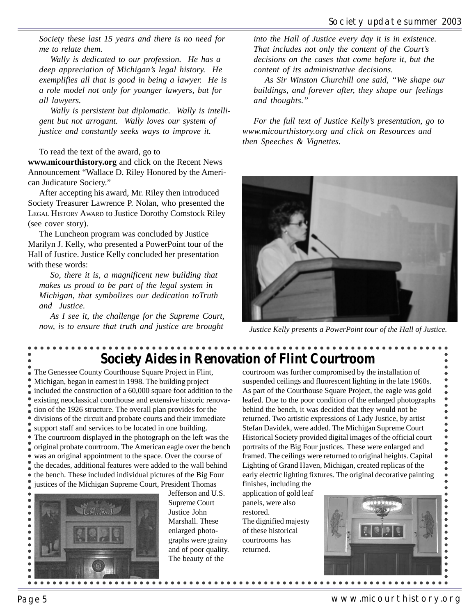*Society these last 15 years and there is no need for me to relate them.*

*Wally is dedicated to our profession. He has a deep appreciation of Michigan's legal history. He exemplifies all that is good in being a lawyer. He is a role model not only for younger lawyers, but for all lawyers.*

*Wally is persistent but diplomatic. Wally is intelligent but not arrogant. Wally loves our system of justice and constantly seeks ways to improve it.*

To read the text of the award, go to

**www.micourthistory.org** and click on the Recent News Announcement "Wallace D. Riley Honored by the American Judicature Society."

After accepting his award, Mr. Riley then introduced Society Treasurer Lawrence P. Nolan, who presented the LEGAL HISTORY AWARD to Justice Dorothy Comstock Riley (see cover story).

The Luncheon program was concluded by Justice Marilyn J. Kelly, who presented a PowerPoint tour of the Hall of Justice. Justice Kelly concluded her presentation with these words:

*So, there it is, a magnificent new building that makes us proud to be part of the legal system in Michigan, that symbolizes our dedication toTruth and Justice.*

*As I see it, the challenge for the Supreme Court, now, is to ensure that truth and justice are brought*

*into the Hall of Justice every day it is in existence. That includes not only the content of the Court's decisions on the cases that come before it, but the content of its administrative decisions.*

*As Sir Winston Churchill one said, "We shape our buildings, and forever after, they shape our feelings and thoughts."*

*For the full text of Justice Kelly's presentation, go to www.micourthistory.org and click on Resources and then Speeches & Vignettes.*



*Justice Kelly presents a PowerPoint tour of the Hall of Justice.*

## **Society Aides in Renovation of Flint Courtroom**

The Genessee County Courthouse Square Project in Flint, Michigan, began in earnest in 1998. The building project included the construction of a 60,000 square foot addition to the existing neoclassical courthouse and extensive historic renovation of the 1926 structure. The overall plan provides for the divisions of the circuit and probate courts and their immediate support staff and services to be located in one building. The courtroom displayed in the photograph on the left was the original probate courtroom. The American eagle over the bench was an original appointment to the space. Over the course of the decades, additional features were added to the wall behind • the bench. These included individual pictures of the Big Four justices of the Michigan Supreme Court, President Thomas  $\overline{\bullet}$ 



Jefferson and U.S. Supreme Court Justice John Marshall. These enlarged photographs were grainy and of poor quality. The beauty of the

courtroom was further compromised by the installation of suspended ceilings and fluorescent lighting in the late 1960s. As part of the Courthouse Square Project, the eagle was gold leafed. Due to the poor condition of the enlarged photographs behind the bench, it was decided that they would not be returned. Two artistic expressions of Lady Justice, by artist Stefan Davidek, were added. The Michigan Supreme Court Historical Society provided digital images of the official court portraits of the Big Four justices. These were enlarged and framed. The ceilings were returned to original heights. Capital Lighting of Grand Haven, Michigan, created replicas of the early electric lighting fixtures. The original decorative painting finishes, including the

application of gold leaf panels, were also restored. The dignified majesty of these historical courtrooms has returned.



 $\bullet$  $\bullet$  $\bullet$  $\begin{array}{c} \bullet \\ \bullet \\ \bullet \end{array}$  $\bullet$  $\bullet$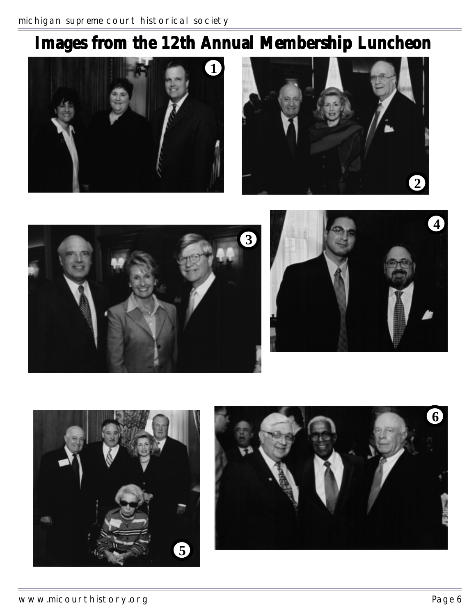# **Images from the 12th Annual Membership Luncheon**











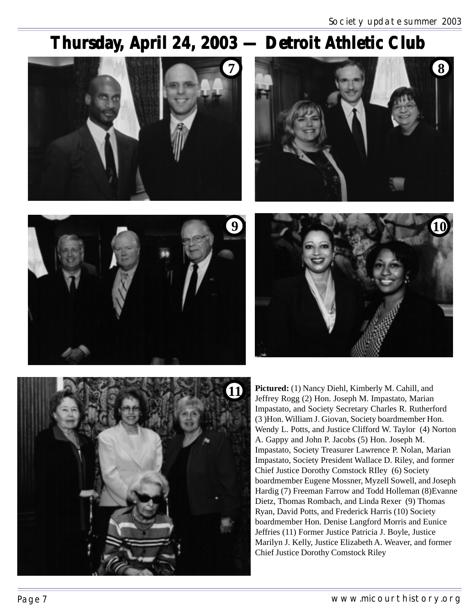## Thursday, April 24, 2003 – Detroit Athletic Club











**Pictured:** (1) Nancy Diehl, Kimberly M. Cahill, and Jeffrey Rogg (2) Hon. Joseph M. Impastato, Marian Impastato, and Society Secretary Charles R. Rutherford (3 )Hon. William J. Giovan, Society boardmember Hon. Wendy L. Potts, and Justice Clifford W. Taylor (4) Norton A. Gappy and John P. Jacobs (5) Hon. Joseph M. Impastato, Society Treasurer Lawrence P. Nolan, Marian Impastato, Society President Wallace D. Riley, and former Chief Justice Dorothy Comstock RIley (6) Society boardmember Eugene Mossner, Myzell Sowell, and Joseph Hardig (7) Freeman Farrow and Todd Holleman (8)Evanne Dietz, Thomas Rombach, and Linda Rexer (9) Thomas Ryan, David Potts, and Frederick Harris (10) Society boardmember Hon. Denise Langford Morris and Eunice Jeffries (11) Former Justice Patricia J. Boyle, Justice Marilyn J. Kelly, Justice Elizabeth A. Weaver, and former Chief Justice Dorothy Comstock Riley